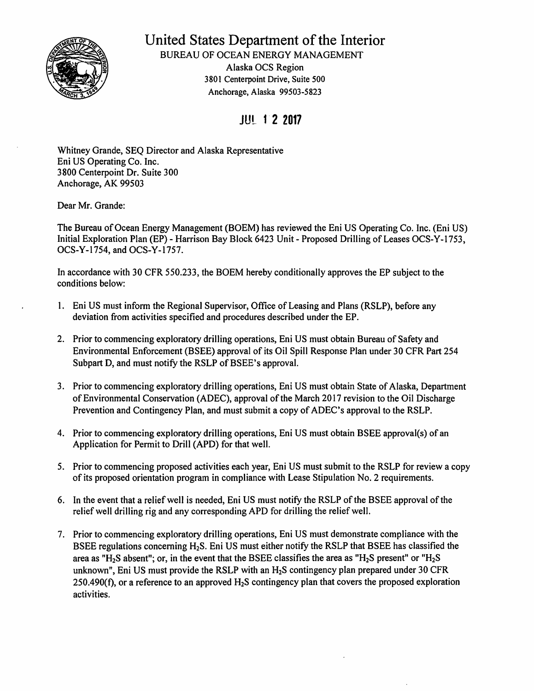

United States Department of the Interior

BUREAU OF OCEAN ENERGY MANAGEMENT Alaska OCS Region 3801 Centerpoint Drive, Suite 500 Anchorage, Alaska 99503-5823

JUL **1 2 2017** 

Whitney Grande, SEQ Director and Alaska Representative Eni US Operating Co. Inc. 3800 Centerpoint Dr. Suite 300 Anchorage, AK 99503

Dear Mr. Grande:

The Bureau of Ocean Energy Management (BOEM) has reviewed the Eni US Operating Co. Inc. (Eni US) Initial Exploration Plan (EP) - Harrison Bay Block 6423 Unit - Proposed Drilling of Leases OCS-Y-1753, OCS-Y-1754, and OCS-Y-1757.

In accordance with 30 CPR 550.233, the BOEM hereby conditionally approves the EP subject to the conditions below:

- I. Eni US must inform the Regional Supervisor, Office of Leasing and Plans (RSLP), before any deviation from activities specified and procedures described under the EP.
- 2. Prior to commencing exploratory drilling operations, Eni US must obtain Bureau of Safety and Environmental Enforcement (BSEE) approval of its Oil Spill Response Plan under 30 CPR Part 254 Subpart D, and must notify the RSLP of BSEE's approval.
- 3. Prior to commencing exploratory drilling operations, Eni US must obtain State of Alaska, Department of Environmental Conservation (ADEC), approval of the March 2017 revision to the Oil Discharge Prevention and Contingency Plan, and must submit a copy of ADEC's approval to the RSLP.
- 4. Prior to commencing exploratory drilling operations, Eni US must obtain BSEE approval(s) of an Application for Permit to Drill (APD) for that well.
- 5. Prior to commencing proposed activities each year, Eni US must submit to the RSLP for review a copy of its proposed orientation program in compliance with Lease Stipulation No. 2 requirements.
- 6. In the event that a relief well is needed, Eni US must notify the RSLP of the BSEE approval of the relief well drilling rig and any corresponding APD for drilling the relief well.
- 7. Prior to commencing exploratory drilling operations, Eni US must demonstrate compliance with the BSEE regulations concerning H2S. Eni US must either notify the RSLP that BSEE has classified the area as "H<sub>2</sub>S absent"; or, in the event that the BSEE classifies the area as "H<sub>2</sub>S present" or "H<sub>2</sub>S unknown", Eni US must provide the RSLP with an H<sub>2</sub>S contingency plan prepared under 30 CFR 250.490(f), or a reference to an approved  $H<sub>2</sub>S$  contingency plan that covers the proposed exploration activities.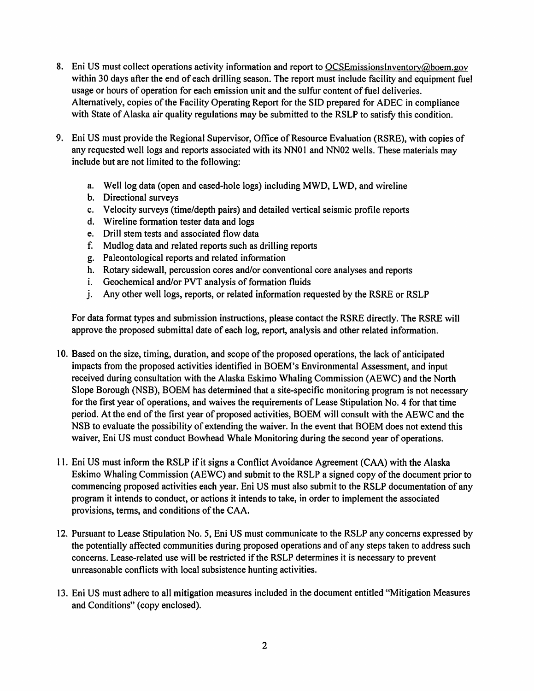- 8. Eni US must collect operations activity information and report to OCSE missions Inventory @boem.gov within 30 days after the end of each drilling season. The report must include facility and equipment fuel usage or hours of operation for each emission unit and the sulfur content of fuel deliveries. Alternatively, copies of the Facility Operating Report for the SID prepared for ADEC in compliance with State of Alaska air quality regulations may be submitted to the RSLP to satisfy this condition.
- 9. Eni US must provide the Regional Supervisor, Office of Resource Evaluation (RSRE), with copies of any requested well logs and reports associated with its NN01 and NN02 wells. These materials may include but are not limited to the following:
	- a. Well log data (open and cased-hole logs) including MWD, LWD, and wireline
	- b. Directional surveys
	- c. Velocity surveys (time/depth pairs) and detailed vertical seismic profile reports
	- d. Wireline formation tester data and logs
	- e. Drill stem tests and associated flow data
	- f. Mudlog data and related reports such as drilling reports
	- g. Paleontological reports and related information
	- h. Rotary sidewall, percussion cores and/or conventional core analyses and reports
	- i. Geochemical and/or PVT analysis of formation fluids
	- J. Any other well logs, reports, or related information requested by the RSRE or RSLP

For data format types and submission instructions, please contact the RSRE directly. The RSRE will approve the proposed submittal date of each log, report, analysis and other related information.

- I 0. Based on the size, timing, duration, and scope of the proposed operations, the lack of anticipated impacts from the proposed activities identified in BOEM's Environmental Assessment, and input received during consultation with the Alaska Eskimo Whaling Commission (AEWC) and the North Slope Borough (NSB), BOEM has determined that a site-specific monitoring program is not necessary for the first year of operations, and waives the requirements of Lease Stipulation No. 4 for that time period. At the end of the first year of proposed activities, BOEM will consult with the AEWC and the NSB to evaluate the possibility of extending the waiver. In the event that BOEM does not extend this waiver, Eni US must conduct Bowhead Whale Monitoring during the second year of operations.
- 11. Eni US must inform the RSLP if it signs a Conflict Avoidance Agreement (CAA) with the Alaska Eskimo Whaling Commission (AEWC) and submit to the RSLP a signed copy of the document prior to commencing proposed activities each year. Eni US must also submit to the RSLP documentation of any program it intends to conduct, or actions it intends to take, in order to implement the associated provisions, terms, and conditions of the CAA.
- 12. Pursuant to Lease Stipulation No. 5, Eni US must communicate to the RSLP any concerns expressed by the potentially affected communities during proposed operations and of any steps taken to address such concerns. Lease-related use will be restricted if the RSLP determines it is necessary to prevent unreasonable conflicts with local subsistence hunting activities.
- 13. Eni US must adhere to all mitigation measures included in the document entitled "Mitigation Measures" and Conditions" (copy enclosed).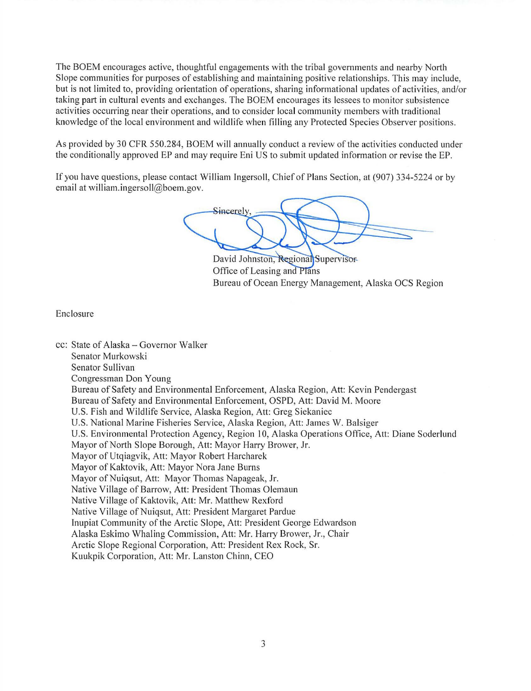The BOEM encourages active, thoughtful engagements with the tribal governments and nearby North Slope communities for purposes of establishing and maintaining positive relationships. This may include, but is not limited to, providing orientation of operations, sharing informational updates of activities, and/or taking part in cultural events and exchanges. The BOEM encourages its lessees to monitor subsistence activities occurring near their operations, and to consider local community members with traditional knowledge of the local environment and wildlife when filling any Protected Species Observer positions.

As provided by 30 CFR 550.284, BOEM will annually conduct a review of the activities conducted under the cond itionally approved EP and may require Eni US to submit updated information or revise the EP.

If you have questions, please contact William Ingersoll, Chief of Plans Section, at (907) 334-5224 or by email at william.ingersoll@boem.gov.

Sincerely.

David Johnston, Regional Supervisor Office of Leasing and Plans Bureau of Ocean Energy Management, Alaska OCS Region

Enc losure

cc: State of Alaska - Governor Walker Senator Murkowski Senator Sullivan Congressman Don Young Bureau of Safety and Environmental Enforcement, Alaska Region, Att: Kevin Pendergast Bureau of Safety and Environmental Enforcement, OSPD, Att: David M. Moore U.S. Fish and Wildlife Service, Alaska Region, Att: Greg Siekaniec U.S. National Marine Fisheries Service, Alaska Region, Att: James W. Balsiger U.S. Environmental Protection Agency, Region 10, Alaska Operations Office, Att: Diane Soderlund Mayor of North Slope Borough, Att: Mayor Harry Brower, Jr. Mayor of Utqiagvik, Att: Mayor Robert Harcharek Mayor of Kaktovik, Att: Mayor Nora Jane Burns Mayor of Nuiqsut, Att: Mayor Thomas Napageak, Jr. Native Village of Barrow, Att: President Thomas Olemaun Native Village of Kaktovik, Att: Mr. Matthew Rexford Native Village of Nuiqsut, Att: President Margaret Pardue lnupiat Community of the Arctic Slope, Att: President George Edwardson Alaska Eskimo Whaling Commission, Att: Mr. Harry Brower, Jr., Chair Arctic Slope Regional Corporation, Att: President Rex Rock, Sr. Kuukpik Corporation, Att: Mr. Lanston Chinn, CEO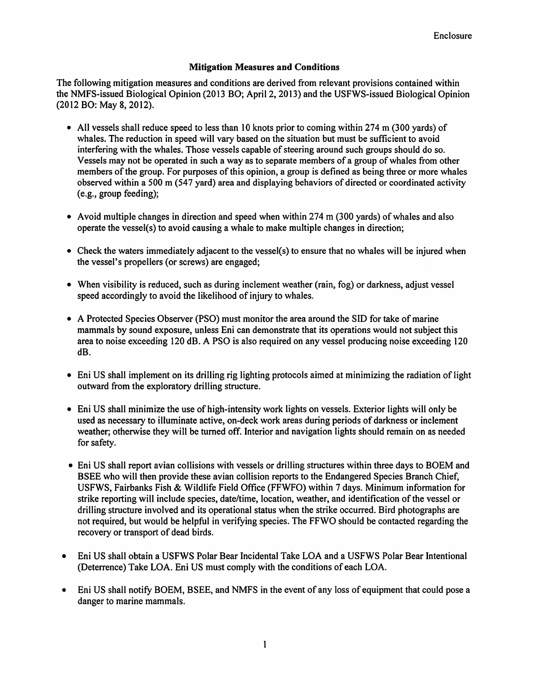## **Mitigation Measures and Conditions**

The following mitigation measures and conditions are derived from relevant provisions contained within the NMFS-issued Biological Opinion (2013 BO; April 2, 2013) and the USFWS-issued Biological Opinion (2012 BO: May 8, 2012).

- All vessels shall reduce speed to less than 10 knots prior to coming within 274 m (300 yards) of whales. The reduction in speed will vary based on the situation but must be sufficient to avoid interfering with the whales. Those vessels capable of steering around such groups should do so. Vessels may not be operated in such a way as to separate members of a group of whales from other members of the group. For purposes of this opinion, a group is defined as being three or more whales observed within a 500 m (547 yard) area and displaying behaviors of directed or coordinated activity ( e.g., group feeding);
- Avoid multiple changes in direction and speed when within 274 m (300 yards) of whales and also operate the vessel(s) to avoid causing a whale to make multiple changes in direction;
- Check the waters immediately adjacent to the vessel(s) to ensure that no whales will be injured when the vessel's propellers (or screws) are engaged;
- When visibility is reduced, such as during inclement weather (rain, fog) or darkness, adjust vessel speed accordingly to avoid the likelihood of injury to whales.
- A Protected Species Observer (PSO) must monitor the area around the SID for take of marine mammals by sound exposure, unless Eni can demonstrate that its operations would not subject this area to noise exceeding 120 dB. A PSO is also required on any vessel producing noise exceeding 120 dB.
- Eni US shall implement on its drilling rig lighting protocols aimed at minimizing the radiation of light outward from the exploratory drilling structure.
- Eni US shall minimize the use of high-intensity work lights on vessels. Exterior lights will only be used as necessary to illuminate active, on-deck work areas during periods of darkness or inclement weather; otherwise they will be turned off. Interior and navigation lights should remain on as needed for safety.
- Eni US shall report avian collisions with vessels or drilling structures within three days to BOEM and BSEE who will then provide these avian collision reports to the Endangered Species Branch Chief, USFWS, Fairbanks Fish & Wildlife Field Office (FFWFO) within 7 days. Minimum information for strike reporting will include species, date/time, location, weather, and identification of the vessel or drilling structure involved and its operational status when the strike occurred. Bird photographs are not required, but would be helpful in verifying species. The FFWO should be contacted regarding the recovery or transport of dead birds.
- Eni US shall obtain a USFWS Polar Bear Incidental Take LOA and a USFWS Polar Bear Intentional (Deterrence) Take LOA. Eni US must comply with the conditions of each LOA.
- Eni US shall notify BOEM, BSEE, and NMFS in the event of any loss of equipment that could pose a danger to marine mammals.